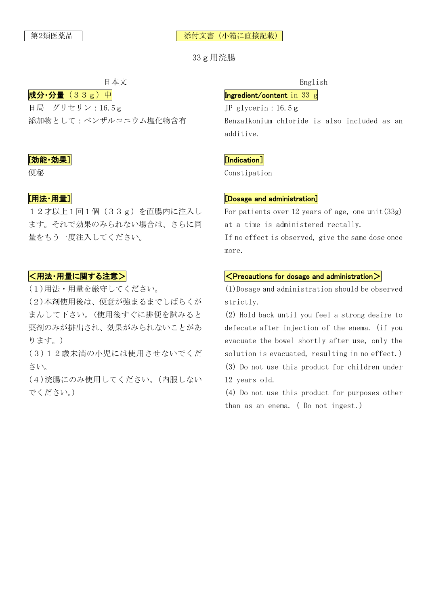#### 第2類医薬品 │ │ │ │ │ │ 添付文書(小箱に直接記載)

33g用浣腸

 $\vert \mathbf{\vec{\mu}} \mathbf{\hat{H}} \cdot \mathbf{\hat{H}} \vert$  (33g) 中 日局 グリセリン:16.5g 添加物として:ベンザルコニウム塩化物含有

## [効能・効果]

便秘

# [用法・用量]

12才以上1回1個 (33g) を直腸内に注入し ます。それで効果のみられない場合は、さらに同 量をもう一度注入してください。

## <用法・用量に関する注意>

(1)用法・用量を厳守してください。

(2)本剤使用後は、便意が強まるまでしばらくが まんして下さい。(使用後すぐに排便を試みると 薬剤のみが排出され、効果がみられないことがあ ります。)

(3)12歳未満の小児には使用させないでくだ さい。

(4)浣腸にのみ使用してください。(内服しない でください。)

日本文 English

## Ingredient/content in 33 g

JP glycerin:16.5g Benzalkonium chloride is also included as an additive.

## [Indication]

Constipation

## [Dosage and administration]

For patients over 12 years of age, one unit  $(33g)$ at a time is administered rectally.

If no effect is observed, give the same dose once more.

#### $\sf<$  Precautions for dosage and administration $\bm>$

(1)Dosage and administration should be observed strictly.

(2) Hold back until you feel a strong desire to defecate after injection of the enema. (if you evacuate the bowel shortly after use, only the solution is evacuated, resulting in no effect.)

(3) Do not use this product for children under 12 years old.

(4) Do not use this product for purposes other than as an enema. (Do not ingest.)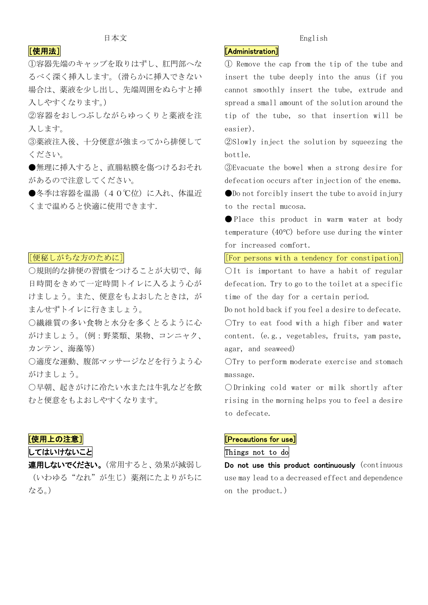# [使用法]

①容器先端のキャップを取りはずし、肛門部へな るべく深く挿入します。(滑らかに挿入できない 場合は、薬液を少し出し、先端周囲をぬらすと挿 入しやすくなります。)

②容器をおしつぶしながらゆっくりと薬液を注 入します。

③薬液注入後、十分便意が強まってから排便して ください。

●無理に挿入すると、直腸粘膜を傷つけるおそれ があるので注意してください。

●冬季は容器を温湯(40℃位)に入れ、体温近 くまで温めると快適に使用できます.

## [便秘しがちな方のために]

○規則的な排便の習慣をつけることが大切で、毎 日時間をきめて一定時間トイレに入るよう心が けましょう。また、便意をもよおしたときは,が まんせずトイレに行きましょう。

○繊維質の多い食物と水分を多くとるように心 がけましょう。(例:野菜類、果物、コンニャク、 カンテン、海藻等)

○適度な運動、腹部マッサージなどを行うよう心 がけましょう。

○早朝、起きがけに冷たい水または牛乳などを飲 むと便意をもよおしやすくなります。

## [使用上の注意]

してはいけないこと

連用しないでください。(常用すると、効果が減弱し (いわゆる"なれ"が生じ)薬剤にたよりがちに なる。)

#### 日本文 English

# [Administration]

① Remove the cap from the tip of the tube and insert the tube deeply into the anus (if you cannot smoothly insert the tube, extrude and spread a small amount of the solution around the tip of the tube, so that insertion will be easier).

②Slowly inject the solution by squeezing the bottle.

③Evacuate the bowel when a strong desire for defecation occurs after injection of the enema.

●Do not forcibly insert the tube to avoid in jury to the rectal mucosa.

● Place this product in warm water at body temperature  $(40^{\circ}C)$  before use during the winter for increased comfort.

[For persons with a tendency for constipation]

OIt is important to have a habit of regular defecation. Try to go to the toilet at a specific time of the day for a certain period.

Do not hold back if you feel a desire to defecate. ○Try to eat food with a high fiber and water content. (e.g., vegetables, fruits, yam paste, agar, and seaweed)

○Try to perform moderate exercise and stomach massage.

○Drinking cold water or milk shortly after rising in the morning helps you to feel a desire to defecate.

## [Precautions for use]

Things not to do

Do not use this product continuously (continuous use may lead to a decreased effect and dependence on the product.)